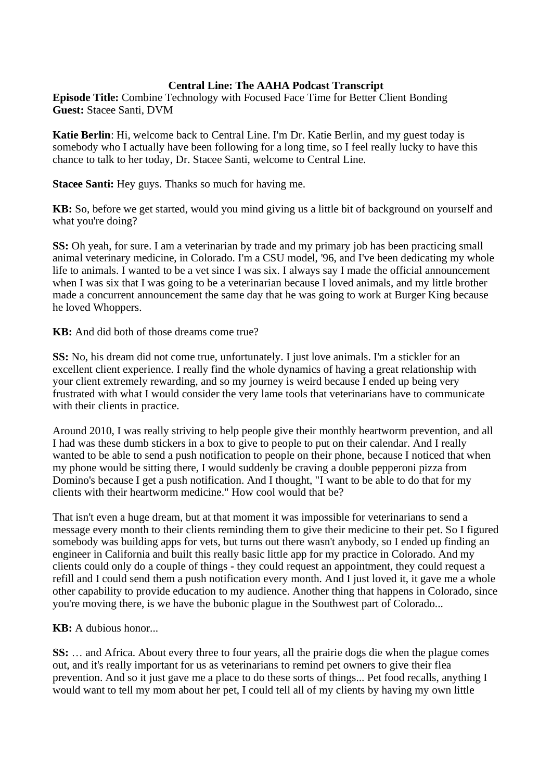## **Central Line: The AAHA Podcast Transcript**

**Episode Title:** Combine Technology with Focused Face Time for Better Client Bonding **Guest:** Stacee Santi, DVM

**Katie Berlin**: Hi, welcome back to Central Line. I'm Dr. Katie Berlin, and my guest today is somebody who I actually have been following for a long time, so I feel really lucky to have this chance to talk to her today, Dr. Stacee Santi, welcome to Central Line.

**Stacee Santi:** Hey guys. Thanks so much for having me.

**KB:** So, before we get started, would you mind giving us a little bit of background on yourself and what you're doing?

**SS:** Oh yeah, for sure. I am a veterinarian by trade and my primary job has been practicing small animal veterinary medicine, in Colorado. I'm a CSU model, '96, and I've been dedicating my whole life to animals. I wanted to be a vet since I was six. I always say I made the official announcement when I was six that I was going to be a veterinarian because I loved animals, and my little brother made a concurrent announcement the same day that he was going to work at Burger King because he loved Whoppers.

**KB:** And did both of those dreams come true?

**SS:** No, his dream did not come true, unfortunately. I just love animals. I'm a stickler for an excellent client experience. I really find the whole dynamics of having a great relationship with your client extremely rewarding, and so my journey is weird because I ended up being very frustrated with what I would consider the very lame tools that veterinarians have to communicate with their clients in practice.

Around 2010, I was really striving to help people give their monthly heartworm prevention, and all I had was these dumb stickers in a box to give to people to put on their calendar. And I really wanted to be able to send a push notification to people on their phone, because I noticed that when my phone would be sitting there, I would suddenly be craving a double pepperoni pizza from Domino's because I get a push notification. And I thought, "I want to be able to do that for my clients with their heartworm medicine." How cool would that be?

That isn't even a huge dream, but at that moment it was impossible for veterinarians to send a message every month to their clients reminding them to give their medicine to their pet. So I figured somebody was building apps for vets, but turns out there wasn't anybody, so I ended up finding an engineer in California and built this really basic little app for my practice in Colorado. And my clients could only do a couple of things - they could request an appointment, they could request a refill and I could send them a push notification every month. And I just loved it, it gave me a whole other capability to provide education to my audience. Another thing that happens in Colorado, since you're moving there, is we have the bubonic plague in the Southwest part of Colorado...

**KB:** A dubious honor...

**SS:** … and Africa. About every three to four years, all the prairie dogs die when the plague comes out, and it's really important for us as veterinarians to remind pet owners to give their flea prevention. And so it just gave me a place to do these sorts of things... Pet food recalls, anything I would want to tell my mom about her pet, I could tell all of my clients by having my own little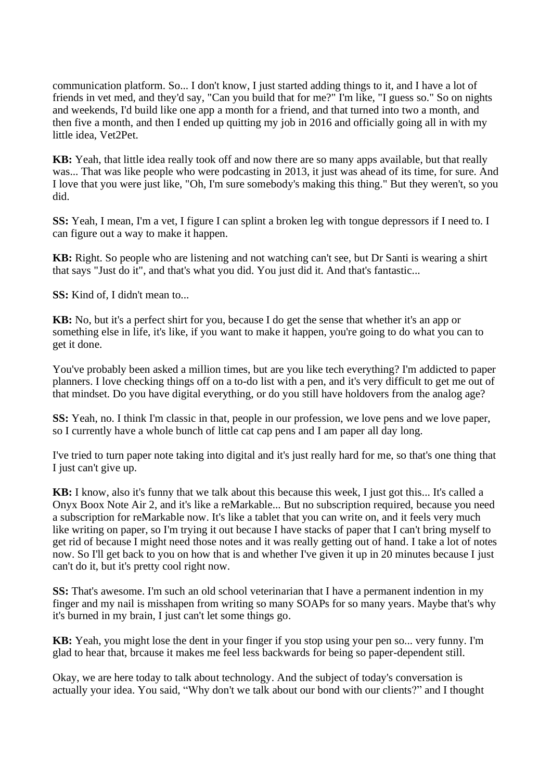communication platform. So... I don't know, I just started adding things to it, and I have a lot of friends in vet med, and they'd say, "Can you build that for me?" I'm like, "I guess so." So on nights and weekends, I'd build like one app a month for a friend, and that turned into two a month, and then five a month, and then I ended up quitting my job in 2016 and officially going all in with my little idea, Vet2Pet.

**KB:** Yeah, that little idea really took off and now there are so many apps available, but that really was... That was like people who were podcasting in 2013, it just was ahead of its time, for sure. And I love that you were just like, "Oh, I'm sure somebody's making this thing." But they weren't, so you did.

**SS:** Yeah, I mean, I'm a vet, I figure I can splint a broken leg with tongue depressors if I need to. I can figure out a way to make it happen.

**KB:** Right. So people who are listening and not watching can't see, but Dr Santi is wearing a shirt that says "Just do it", and that's what you did. You just did it. And that's fantastic...

**SS:** Kind of, I didn't mean to...

**KB:** No, but it's a perfect shirt for you, because I do get the sense that whether it's an app or something else in life, it's like, if you want to make it happen, you're going to do what you can to get it done.

You've probably been asked a million times, but are you like tech everything? I'm addicted to paper planners. I love checking things off on a to-do list with a pen, and it's very difficult to get me out of that mindset. Do you have digital everything, or do you still have holdovers from the analog age?

**SS:** Yeah, no. I think I'm classic in that, people in our profession, we love pens and we love paper, so I currently have a whole bunch of little cat cap pens and I am paper all day long.

I've tried to turn paper note taking into digital and it's just really hard for me, so that's one thing that I just can't give up.

**KB:** I know, also it's funny that we talk about this because this week, I just got this... It's called a Onyx Boox Note Air 2, and it's like a reMarkable... But no subscription required, because you need a subscription for reMarkable now. It's like a tablet that you can write on, and it feels very much like writing on paper, so I'm trying it out because I have stacks of paper that I can't bring myself to get rid of because I might need those notes and it was really getting out of hand. I take a lot of notes now. So I'll get back to you on how that is and whether I've given it up in 20 minutes because I just can't do it, but it's pretty cool right now.

**SS:** That's awesome. I'm such an old school veterinarian that I have a permanent indention in my finger and my nail is misshapen from writing so many SOAPs for so many years. Maybe that's why it's burned in my brain, I just can't let some things go.

**KB:** Yeah, you might lose the dent in your finger if you stop using your pen so... very funny. I'm glad to hear that, brcause it makes me feel less backwards for being so paper-dependent still.

Okay, we are here today to talk about technology. And the subject of today's conversation is actually your idea. You said, "Why don't we talk about our bond with our clients?" and I thought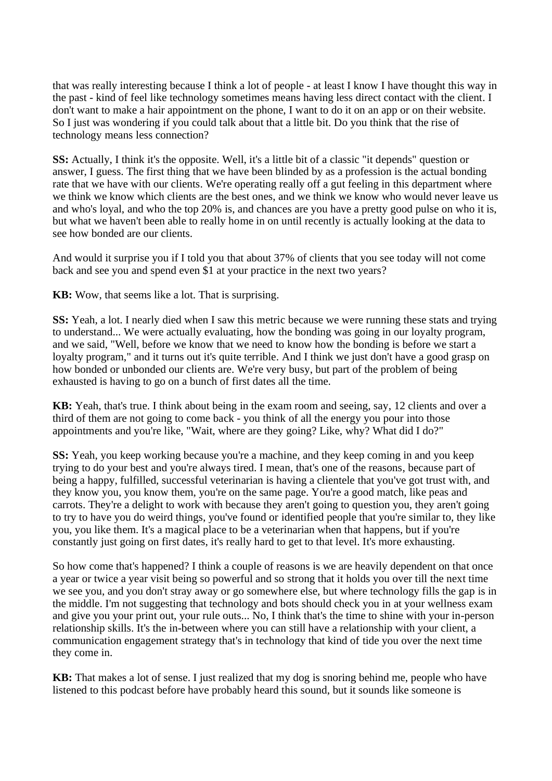that was really interesting because I think a lot of people - at least I know I have thought this way in the past - kind of feel like technology sometimes means having less direct contact with the client. I don't want to make a hair appointment on the phone, I want to do it on an app or on their website. So I just was wondering if you could talk about that a little bit. Do you think that the rise of technology means less connection?

**SS:** Actually, I think it's the opposite. Well, it's a little bit of a classic "it depends" question or answer, I guess. The first thing that we have been blinded by as a profession is the actual bonding rate that we have with our clients. We're operating really off a gut feeling in this department where we think we know which clients are the best ones, and we think we know who would never leave us and who's loyal, and who the top 20% is, and chances are you have a pretty good pulse on who it is, but what we haven't been able to really home in on until recently is actually looking at the data to see how bonded are our clients.

And would it surprise you if I told you that about 37% of clients that you see today will not come back and see you and spend even \$1 at your practice in the next two years?

**KB:** Wow, that seems like a lot. That is surprising.

**SS:** Yeah, a lot. I nearly died when I saw this metric because we were running these stats and trying to understand... We were actually evaluating, how the bonding was going in our loyalty program, and we said, "Well, before we know that we need to know how the bonding is before we start a loyalty program," and it turns out it's quite terrible. And I think we just don't have a good grasp on how bonded or unbonded our clients are. We're very busy, but part of the problem of being exhausted is having to go on a bunch of first dates all the time.

**KB:** Yeah, that's true. I think about being in the exam room and seeing, say, 12 clients and over a third of them are not going to come back - you think of all the energy you pour into those appointments and you're like, "Wait, where are they going? Like, why? What did I do?"

**SS:** Yeah, you keep working because you're a machine, and they keep coming in and you keep trying to do your best and you're always tired. I mean, that's one of the reasons, because part of being a happy, fulfilled, successful veterinarian is having a clientele that you've got trust with, and they know you, you know them, you're on the same page. You're a good match, like peas and carrots. They're a delight to work with because they aren't going to question you, they aren't going to try to have you do weird things, you've found or identified people that you're similar to, they like you, you like them. It's a magical place to be a veterinarian when that happens, but if you're constantly just going on first dates, it's really hard to get to that level. It's more exhausting.

So how come that's happened? I think a couple of reasons is we are heavily dependent on that once a year or twice a year visit being so powerful and so strong that it holds you over till the next time we see you, and you don't stray away or go somewhere else, but where technology fills the gap is in the middle. I'm not suggesting that technology and bots should check you in at your wellness exam and give you your print out, your rule outs... No, I think that's the time to shine with your in-person relationship skills. It's the in-between where you can still have a relationship with your client, a communication engagement strategy that's in technology that kind of tide you over the next time they come in.

**KB:** That makes a lot of sense. I just realized that my dog is snoring behind me, people who have listened to this podcast before have probably heard this sound, but it sounds like someone is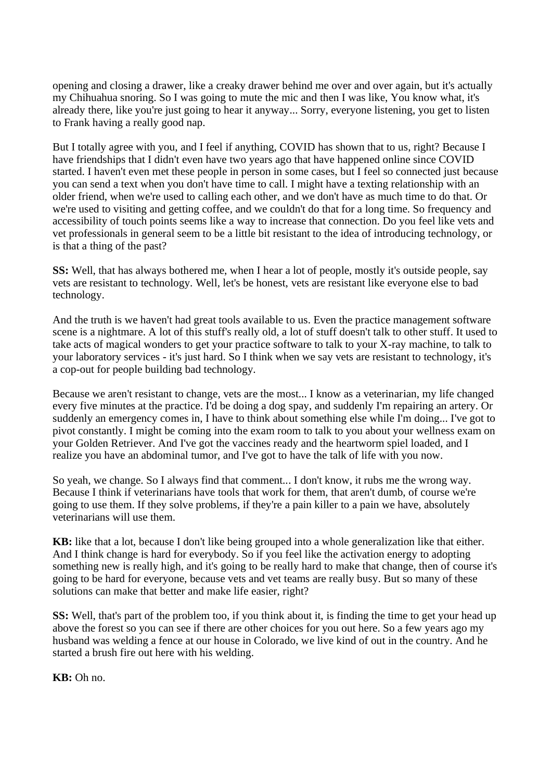opening and closing a drawer, like a creaky drawer behind me over and over again, but it's actually my Chihuahua snoring. So I was going to mute the mic and then I was like, You know what, it's already there, like you're just going to hear it anyway... Sorry, everyone listening, you get to listen to Frank having a really good nap.

But I totally agree with you, and I feel if anything, COVID has shown that to us, right? Because I have friendships that I didn't even have two years ago that have happened online since COVID started. I haven't even met these people in person in some cases, but I feel so connected just because you can send a text when you don't have time to call. I might have a texting relationship with an older friend, when we're used to calling each other, and we don't have as much time to do that. Or we're used to visiting and getting coffee, and we couldn't do that for a long time. So frequency and accessibility of touch points seems like a way to increase that connection. Do you feel like vets and vet professionals in general seem to be a little bit resistant to the idea of introducing technology, or is that a thing of the past?

**SS:** Well, that has always bothered me, when I hear a lot of people, mostly it's outside people, say vets are resistant to technology. Well, let's be honest, vets are resistant like everyone else to bad technology.

And the truth is we haven't had great tools available to us. Even the practice management software scene is a nightmare. A lot of this stuff's really old, a lot of stuff doesn't talk to other stuff. It used to take acts of magical wonders to get your practice software to talk to your X-ray machine, to talk to your laboratory services - it's just hard. So I think when we say vets are resistant to technology, it's a cop-out for people building bad technology.

Because we aren't resistant to change, vets are the most... I know as a veterinarian, my life changed every five minutes at the practice. I'd be doing a dog spay, and suddenly I'm repairing an artery. Or suddenly an emergency comes in, I have to think about something else while I'm doing... I've got to pivot constantly. I might be coming into the exam room to talk to you about your wellness exam on your Golden Retriever. And I've got the vaccines ready and the heartworm spiel loaded, and I realize you have an abdominal tumor, and I've got to have the talk of life with you now.

So yeah, we change. So I always find that comment... I don't know, it rubs me the wrong way. Because I think if veterinarians have tools that work for them, that aren't dumb, of course we're going to use them. If they solve problems, if they're a pain killer to a pain we have, absolutely veterinarians will use them.

**KB:** like that a lot, because I don't like being grouped into a whole generalization like that either. And I think change is hard for everybody. So if you feel like the activation energy to adopting something new is really high, and it's going to be really hard to make that change, then of course it's going to be hard for everyone, because vets and vet teams are really busy. But so many of these solutions can make that better and make life easier, right?

**SS:** Well, that's part of the problem too, if you think about it, is finding the time to get your head up above the forest so you can see if there are other choices for you out here. So a few years ago my husband was welding a fence at our house in Colorado, we live kind of out in the country. And he started a brush fire out here with his welding.

**KB:** Oh no.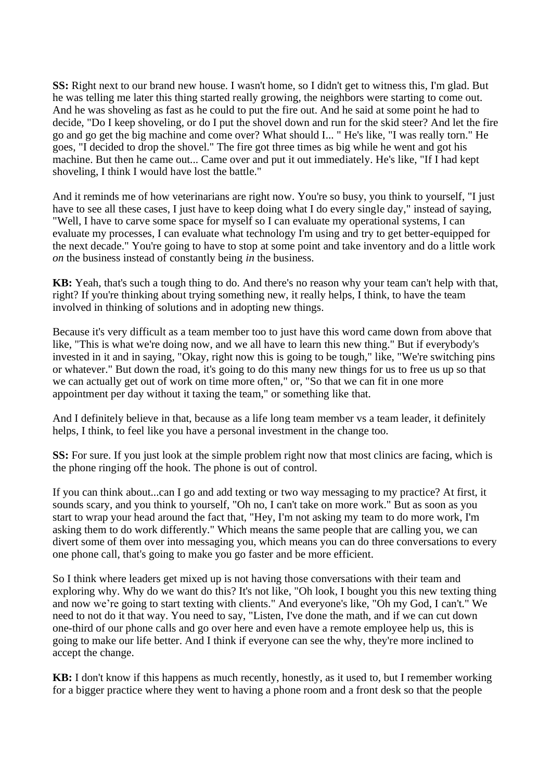**SS:** Right next to our brand new house. I wasn't home, so I didn't get to witness this, I'm glad. But he was telling me later this thing started really growing, the neighbors were starting to come out. And he was shoveling as fast as he could to put the fire out. And he said at some point he had to decide, "Do I keep shoveling, or do I put the shovel down and run for the skid steer? And let the fire go and go get the big machine and come over? What should I... " He's like, "I was really torn." He goes, "I decided to drop the shovel." The fire got three times as big while he went and got his machine. But then he came out... Came over and put it out immediately. He's like, "If I had kept shoveling, I think I would have lost the battle."

And it reminds me of how veterinarians are right now. You're so busy, you think to yourself, "I just have to see all these cases, I just have to keep doing what I do every single day," instead of saying, "Well, I have to carve some space for myself so I can evaluate my operational systems, I can evaluate my processes, I can evaluate what technology I'm using and try to get better-equipped for the next decade." You're going to have to stop at some point and take inventory and do a little work *on* the business instead of constantly being *in* the business.

**KB:** Yeah, that's such a tough thing to do. And there's no reason why your team can't help with that, right? If you're thinking about trying something new, it really helps, I think, to have the team involved in thinking of solutions and in adopting new things.

Because it's very difficult as a team member too to just have this word came down from above that like, "This is what we're doing now, and we all have to learn this new thing." But if everybody's invested in it and in saying, "Okay, right now this is going to be tough," like, "We're switching pins or whatever." But down the road, it's going to do this many new things for us to free us up so that we can actually get out of work on time more often," or, "So that we can fit in one more appointment per day without it taxing the team," or something like that.

And I definitely believe in that, because as a life long team member vs a team leader, it definitely helps, I think, to feel like you have a personal investment in the change too.

**SS:** For sure. If you just look at the simple problem right now that most clinics are facing, which is the phone ringing off the hook. The phone is out of control.

If you can think about...can I go and add texting or two way messaging to my practice? At first, it sounds scary, and you think to yourself, "Oh no, I can't take on more work." But as soon as you start to wrap your head around the fact that, "Hey, I'm not asking my team to do more work, I'm asking them to do work differently." Which means the same people that are calling you, we can divert some of them over into messaging you, which means you can do three conversations to every one phone call, that's going to make you go faster and be more efficient.

So I think where leaders get mixed up is not having those conversations with their team and exploring why. Why do we want do this? It's not like, "Oh look, I bought you this new texting thing and now we're going to start texting with clients." And everyone's like, "Oh my God, I can't." We need to not do it that way. You need to say, "Listen, I've done the math, and if we can cut down one-third of our phone calls and go over here and even have a remote employee help us, this is going to make our life better. And I think if everyone can see the why, they're more inclined to accept the change.

**KB:** I don't know if this happens as much recently, honestly, as it used to, but I remember working for a bigger practice where they went to having a phone room and a front desk so that the people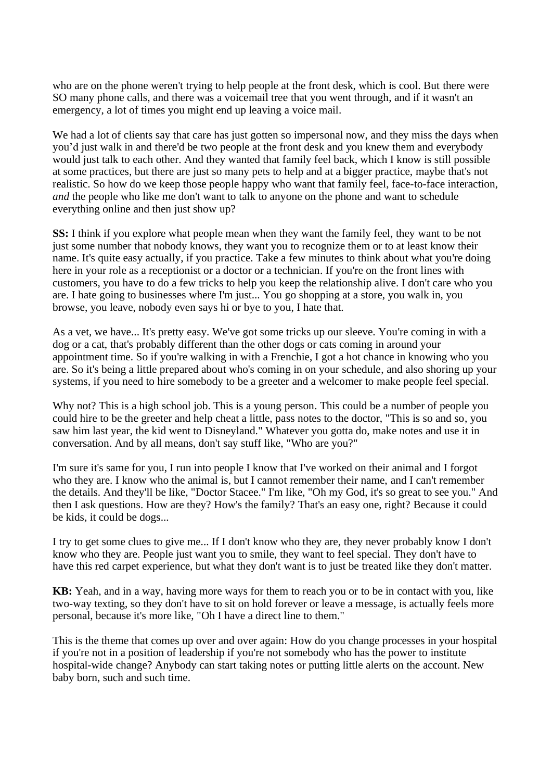who are on the phone weren't trying to help people at the front desk, which is cool. But there were SO many phone calls, and there was a voicemail tree that you went through, and if it wasn't an emergency, a lot of times you might end up leaving a voice mail.

We had a lot of clients say that care has just gotten so impersonal now, and they miss the days when you'd just walk in and there'd be two people at the front desk and you knew them and everybody would just talk to each other. And they wanted that family feel back, which I know is still possible at some practices, but there are just so many pets to help and at a bigger practice, maybe that's not realistic. So how do we keep those people happy who want that family feel, face-to-face interaction, *and* the people who like me don't want to talk to anyone on the phone and want to schedule everything online and then just show up?

**SS:** I think if you explore what people mean when they want the family feel, they want to be not just some number that nobody knows, they want you to recognize them or to at least know their name. It's quite easy actually, if you practice. Take a few minutes to think about what you're doing here in your role as a receptionist or a doctor or a technician. If you're on the front lines with customers, you have to do a few tricks to help you keep the relationship alive. I don't care who you are. I hate going to businesses where I'm just... You go shopping at a store, you walk in, you browse, you leave, nobody even says hi or bye to you, I hate that.

As a vet, we have... It's pretty easy. We've got some tricks up our sleeve. You're coming in with a dog or a cat, that's probably different than the other dogs or cats coming in around your appointment time. So if you're walking in with a Frenchie, I got a hot chance in knowing who you are. So it's being a little prepared about who's coming in on your schedule, and also shoring up your systems, if you need to hire somebody to be a greeter and a welcomer to make people feel special.

Why not? This is a high school job. This is a young person. This could be a number of people you could hire to be the greeter and help cheat a little, pass notes to the doctor, "This is so and so, you saw him last year, the kid went to Disneyland." Whatever you gotta do, make notes and use it in conversation. And by all means, don't say stuff like, "Who are you?"

I'm sure it's same for you, I run into people I know that I've worked on their animal and I forgot who they are. I know who the animal is, but I cannot remember their name, and I can't remember the details. And they'll be like, "Doctor Stacee." I'm like, "Oh my God, it's so great to see you." And then I ask questions. How are they? How's the family? That's an easy one, right? Because it could be kids, it could be dogs...

I try to get some clues to give me... If I don't know who they are, they never probably know I don't know who they are. People just want you to smile, they want to feel special. They don't have to have this red carpet experience, but what they don't want is to just be treated like they don't matter.

**KB:** Yeah, and in a way, having more ways for them to reach you or to be in contact with you, like two-way texting, so they don't have to sit on hold forever or leave a message, is actually feels more personal, because it's more like, "Oh I have a direct line to them."

This is the theme that comes up over and over again: How do you change processes in your hospital if you're not in a position of leadership if you're not somebody who has the power to institute hospital-wide change? Anybody can start taking notes or putting little alerts on the account. New baby born, such and such time.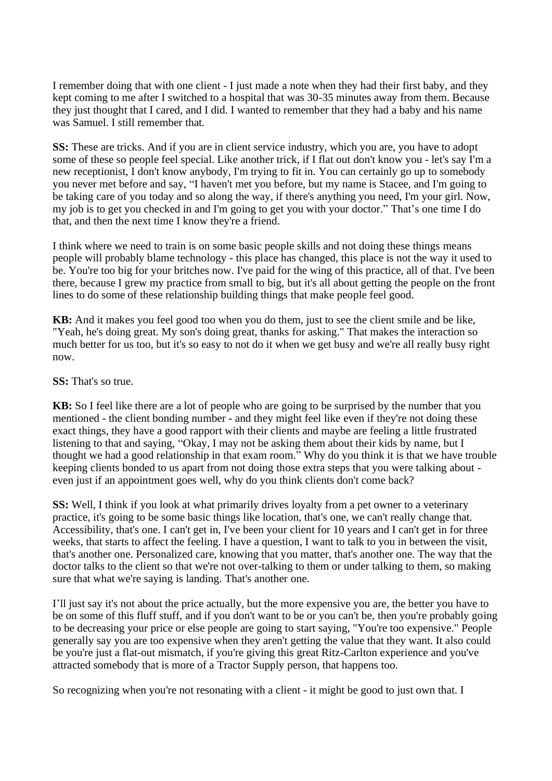I remember doing that with one client - I just made a note when they had their first baby, and they kept coming to me after I switched to a hospital that was 30-35 minutes away from them. Because they just thought that I cared, and I did. I wanted to remember that they had a baby and his name was Samuel. I still remember that.

**SS:** These are tricks. And if you are in client service industry, which you are, you have to adopt some of these so people feel special. Like another trick, if I flat out don't know you - let's say I'm a new receptionist, I don't know anybody, I'm trying to fit in. You can certainly go up to somebody you never met before and say, "I haven't met you before, but my name is Stacee, and I'm going to be taking care of you today and so along the way, if there's anything you need, I'm your girl. Now, my job is to get you checked in and I'm going to get you with your doctor." That's one time I do that, and then the next time I know they're a friend.

I think where we need to train is on some basic people skills and not doing these things means people will probably blame technology - this place has changed, this place is not the way it used to be. You're too big for your britches now. I've paid for the wing of this practice, all of that. I've been there, because I grew my practice from small to big, but it's all about getting the people on the front lines to do some of these relationship building things that make people feel good.

**KB:** And it makes you feel good too when you do them, just to see the client smile and be like, "Yeah, he's doing great. My son's doing great, thanks for asking." That makes the interaction so much better for us too, but it's so easy to not do it when we get busy and we're all really busy right now.

**SS:** That's so true.

**KB:** So I feel like there are a lot of people who are going to be surprised by the number that you mentioned - the client bonding number - and they might feel like even if they're not doing these exact things, they have a good rapport with their clients and maybe are feeling a little frustrated listening to that and saying, "Okay, I may not be asking them about their kids by name, but I thought we had a good relationship in that exam room." Why do you think it is that we have trouble keeping clients bonded to us apart from not doing those extra steps that you were talking about even just if an appointment goes well, why do you think clients don't come back?

**SS:** Well, I think if you look at what primarily drives loyalty from a pet owner to a veterinary practice, it's going to be some basic things like location, that's one, we can't really change that. Accessibility, that's one. I can't get in, I've been your client for 10 years and I can't get in for three weeks, that starts to affect the feeling. I have a question, I want to talk to you in between the visit, that's another one. Personalized care, knowing that you matter, that's another one. The way that the doctor talks to the client so that we're not over-talking to them or under talking to them, so making sure that what we're saying is landing. That's another one.

I'll just say it's not about the price actually, but the more expensive you are, the better you have to be on some of this fluff stuff, and if you don't want to be or you can't be, then you're probably going to be decreasing your price or else people are going to start saying, "You're too expensive." People generally say you are too expensive when they aren't getting the value that they want. It also could be you're just a flat-out mismatch, if you're giving this great Ritz-Carlton experience and you've attracted somebody that is more of a Tractor Supply person, that happens too.

So recognizing when you're not resonating with a client - it might be good to just own that. I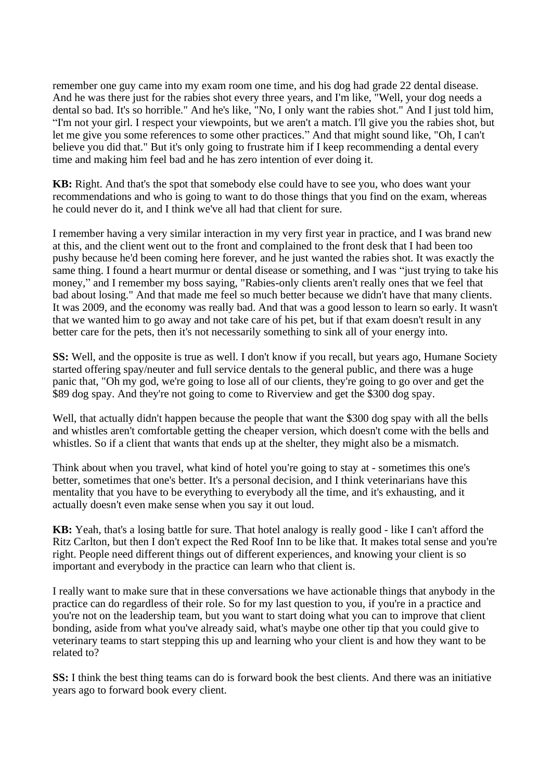remember one guy came into my exam room one time, and his dog had grade 22 dental disease. And he was there just for the rabies shot every three years, and I'm like, "Well, your dog needs a dental so bad. It's so horrible." And he's like, "No, I only want the rabies shot." And I just told him, "I'm not your girl. I respect your viewpoints, but we aren't a match. I'll give you the rabies shot, but let me give you some references to some other practices." And that might sound like, "Oh, I can't believe you did that." But it's only going to frustrate him if I keep recommending a dental every time and making him feel bad and he has zero intention of ever doing it.

**KB:** Right. And that's the spot that somebody else could have to see you, who does want your recommendations and who is going to want to do those things that you find on the exam, whereas he could never do it, and I think we've all had that client for sure.

I remember having a very similar interaction in my very first year in practice, and I was brand new at this, and the client went out to the front and complained to the front desk that I had been too pushy because he'd been coming here forever, and he just wanted the rabies shot. It was exactly the same thing. I found a heart murmur or dental disease or something, and I was "just trying to take his money," and I remember my boss saying, "Rabies-only clients aren't really ones that we feel that bad about losing." And that made me feel so much better because we didn't have that many clients. It was 2009, and the economy was really bad. And that was a good lesson to learn so early. It wasn't that we wanted him to go away and not take care of his pet, but if that exam doesn't result in any better care for the pets, then it's not necessarily something to sink all of your energy into.

**SS:** Well, and the opposite is true as well. I don't know if you recall, but years ago, Humane Society started offering spay/neuter and full service dentals to the general public, and there was a huge panic that, "Oh my god, we're going to lose all of our clients, they're going to go over and get the \$89 dog spay. And they're not going to come to Riverview and get the \$300 dog spay.

Well, that actually didn't happen because the people that want the \$300 dog spay with all the bells and whistles aren't comfortable getting the cheaper version, which doesn't come with the bells and whistles. So if a client that wants that ends up at the shelter, they might also be a mismatch.

Think about when you travel, what kind of hotel you're going to stay at - sometimes this one's better, sometimes that one's better. It's a personal decision, and I think veterinarians have this mentality that you have to be everything to everybody all the time, and it's exhausting, and it actually doesn't even make sense when you say it out loud.

**KB:** Yeah, that's a losing battle for sure. That hotel analogy is really good - like I can't afford the Ritz Carlton, but then I don't expect the Red Roof Inn to be like that. It makes total sense and you're right. People need different things out of different experiences, and knowing your client is so important and everybody in the practice can learn who that client is.

I really want to make sure that in these conversations we have actionable things that anybody in the practice can do regardless of their role. So for my last question to you, if you're in a practice and you're not on the leadership team, but you want to start doing what you can to improve that client bonding, aside from what you've already said, what's maybe one other tip that you could give to veterinary teams to start stepping this up and learning who your client is and how they want to be related to?

**SS:** I think the best thing teams can do is forward book the best clients. And there was an initiative years ago to forward book every client.